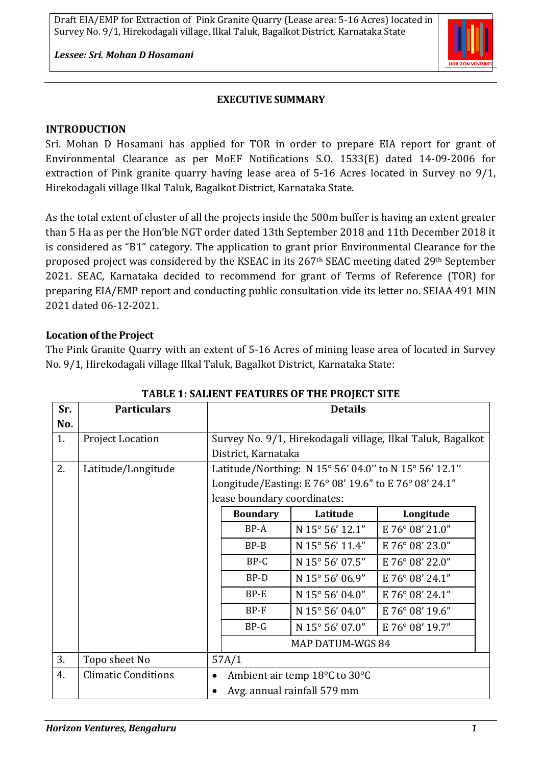*Lessee: Sri. Mohan D Hosamani*



#### **EXECUTIVE SUMMARY**

#### **INTRODUCTION**

Sri. Mohan D Hosamani has applied for TOR in order to prepare EIA report for grant of Environmental Clearance as per MoEF Notifications S.O. 1533(E) dated 14-09-2006 for extraction of Pink granite quarry having lease area of 5-16 Acres located in Survey no 9/1, Hirekodagali village Ilkal Taluk, Bagalkot District, Karnataka State.

As the total extent of cluster of all the projects inside the 500m buffer is having an extent greater than 5 Ha as per the Hon'ble NGT order dated 13th September 2018 and 11th December 2018 it is considered as "B1" category. The application to grant prior Environmental Clearance for the proposed project was considered by the KSEAC in its 267th SEAC meeting dated 29th September 2021. SEAC, Karnataka decided to recommend for grant of Terms of Reference (TOR) for preparing EIA/EMP report and conducting public consultation vide its letter no. SEIAA 491 MIN 2021 dated 06-12-2021.

#### **Location of the Project**

The Pink Granite Quarry with an extent of 5-16 Acres of mining lease area of located in Survey No. 9/1, Hirekodagali village Ilkal Taluk, Bagalkot District, Karnataka State:

| Sr. | <b>Particulars</b>         | <b>Details</b>                                              |                 |                         |                 |  |
|-----|----------------------------|-------------------------------------------------------------|-----------------|-------------------------|-----------------|--|
| No. |                            |                                                             |                 |                         |                 |  |
| 1.  | <b>Project Location</b>    | Survey No. 9/1, Hirekodagali village, Ilkal Taluk, Bagalkot |                 |                         |                 |  |
|     |                            | District, Karnataka                                         |                 |                         |                 |  |
| 2.  | Latitude/Longitude         | Latitude/Northing: N 15° 56' 04.0" to N 15° 56' 12.1"       |                 |                         |                 |  |
|     |                            | Longitude/Easting: E 76° 08' 19.6" to E 76° 08' 24.1"       |                 |                         |                 |  |
|     |                            | lease boundary coordinates:                                 |                 |                         |                 |  |
|     |                            |                                                             | <b>Boundary</b> | Latitude                | Longitude       |  |
|     |                            |                                                             | BP-A            | N 15° 56' 12.1"         | E 76° 08' 21.0" |  |
|     |                            |                                                             | $BP-B$          | N 15° 56' 11.4"         | E 76° 08' 23.0" |  |
|     |                            |                                                             | BP-C            | N 15° 56' 07.5"         | E 76° 08' 22.0" |  |
|     |                            |                                                             | BP-D            | N 15° 56' 06.9"         | E 76° 08' 24.1" |  |
|     |                            |                                                             | BP-E            | N 15° 56' 04.0"         | E 76° 08' 24.1" |  |
|     |                            |                                                             | BP-F            | N 15° 56' 04.0"         | E 76° 08' 19.6" |  |
|     |                            |                                                             | $BP-G$          | N 15° 56' 07.0"         | E 76° 08' 19.7" |  |
|     |                            |                                                             |                 | <b>MAP DATUM-WGS 84</b> |                 |  |
| 3.  | Topo sheet No              | 57A/1                                                       |                 |                         |                 |  |
| 4.  | <b>Climatic Conditions</b> | Ambient air temp 18°C to 30°C                               |                 |                         |                 |  |
|     |                            | Avg. annual rainfall 579 mm                                 |                 |                         |                 |  |

#### **TABLE 1: SALIENT FEATURES OF THE PROJECT SITE**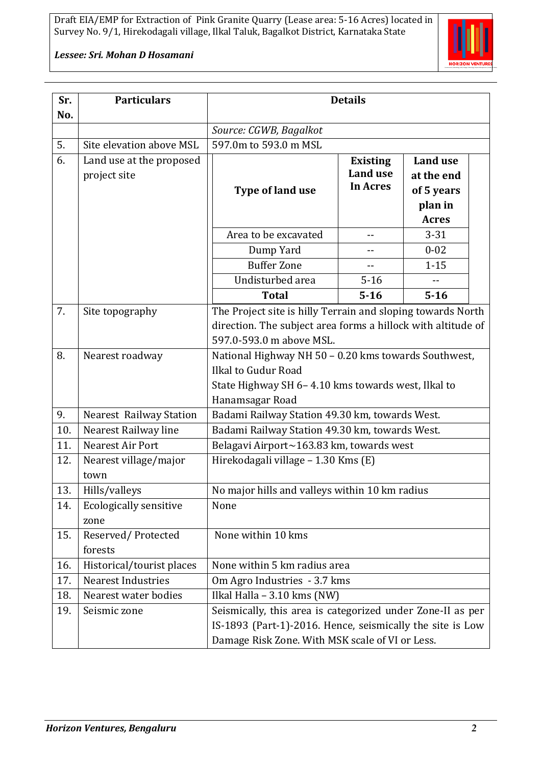#### *Lessee: Sri. Mohan D Hosamani*

| Sr.<br>No. | <b>Particulars</b>                       | <b>Details</b>                                                                                                                                                             |                                                       |                                                                        |  |  |
|------------|------------------------------------------|----------------------------------------------------------------------------------------------------------------------------------------------------------------------------|-------------------------------------------------------|------------------------------------------------------------------------|--|--|
|            |                                          | Source: CGWB, Bagalkot                                                                                                                                                     |                                                       |                                                                        |  |  |
| 5.         | Site elevation above MSL                 | 597.0m to 593.0 m MSL                                                                                                                                                      |                                                       |                                                                        |  |  |
| 6.         | Land use at the proposed<br>project site | Type of land use                                                                                                                                                           | <b>Existing</b><br><b>Land use</b><br><b>In Acres</b> | <b>Land use</b><br>at the end<br>of 5 years<br>plan in<br><b>Acres</b> |  |  |
|            |                                          | Area to be excavated                                                                                                                                                       | $- -$                                                 | $3 - 31$                                                               |  |  |
|            |                                          | Dump Yard                                                                                                                                                                  | --                                                    | $0 - 02$                                                               |  |  |
|            |                                          | <b>Buffer Zone</b>                                                                                                                                                         | --                                                    | $1 - 15$                                                               |  |  |
|            |                                          | Undisturbed area                                                                                                                                                           | $5 - 16$                                              |                                                                        |  |  |
|            |                                          | <b>Total</b>                                                                                                                                                               | $5 - 16$                                              | $5 - 16$                                                               |  |  |
| 7.         | Site topography                          | The Project site is hilly Terrain and sloping towards North<br>direction. The subject area forms a hillock with altitude of<br>597.0-593.0 m above MSL.                    |                                                       |                                                                        |  |  |
| 8.         | Nearest roadway                          | National Highway NH 50 - 0.20 kms towards Southwest,<br>Ilkal to Gudur Road<br>State Highway SH 6-4.10 kms towards west, Ilkal to<br>Hanamsagar Road                       |                                                       |                                                                        |  |  |
| 9.         | Nearest Railway Station                  | Badami Railway Station 49.30 km, towards West.                                                                                                                             |                                                       |                                                                        |  |  |
| 10.        | Nearest Railway line                     | Badami Railway Station 49.30 km, towards West.                                                                                                                             |                                                       |                                                                        |  |  |
| 11.        | Nearest Air Port                         | Belagavi Airport~163.83 km, towards west                                                                                                                                   |                                                       |                                                                        |  |  |
| 12.        | Nearest village/major<br>town            | Hirekodagali village - 1.30 Kms (E)                                                                                                                                        |                                                       |                                                                        |  |  |
| 13.        | Hills/valleys                            | No major hills and valleys within 10 km radius                                                                                                                             |                                                       |                                                                        |  |  |
| 14.        | <b>Ecologically sensitive</b><br>zone    | None                                                                                                                                                                       |                                                       |                                                                        |  |  |
| 15.        | Reserved/Protected<br>forests            | None within 10 kms                                                                                                                                                         |                                                       |                                                                        |  |  |
| 16.        | Historical/tourist places                | None within 5 km radius area                                                                                                                                               |                                                       |                                                                        |  |  |
| 17.        | <b>Nearest Industries</b>                | Om Agro Industries - 3.7 kms                                                                                                                                               |                                                       |                                                                        |  |  |
| 18.        | Nearest water bodies                     | Ilkal Halla - 3.10 kms (NW)                                                                                                                                                |                                                       |                                                                        |  |  |
| 19.        | Seismic zone                             | Seismically, this area is categorized under Zone-II as per<br>IS-1893 (Part-1)-2016. Hence, seismically the site is Low<br>Damage Risk Zone. With MSK scale of VI or Less. |                                                       |                                                                        |  |  |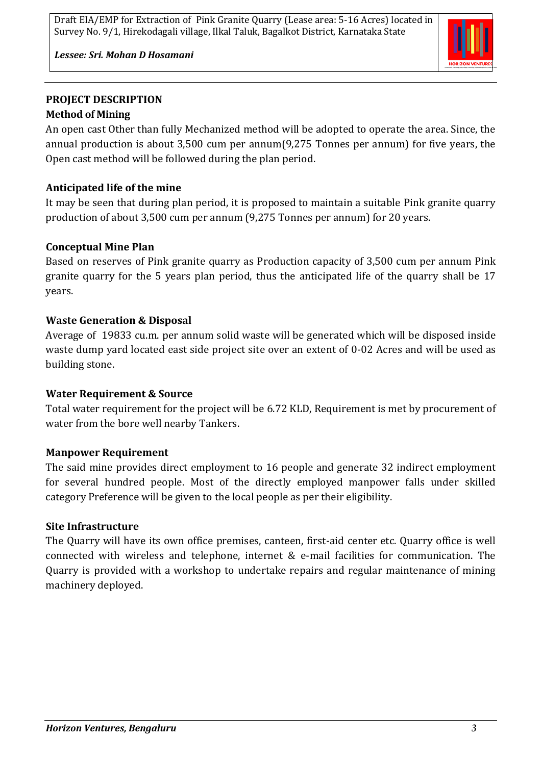

*Lessee: Sri. Mohan D Hosamani*

# **PROJECT DESCRIPTION Method of Mining**

An open cast Other than fully Mechanized method will be adopted to operate the area. Since, the annual production is about 3,500 cum per annum(9,275 Tonnes per annum) for five years, the Open cast method will be followed during the plan period.

# **Anticipated life of the mine**

It may be seen that during plan period, it is proposed to maintain a suitable Pink granite quarry production of about 3,500 cum per annum (9,275 Tonnes per annum) for 20 years.

# **Conceptual Mine Plan**

Based on reserves of Pink granite quarry as Production capacity of 3,500 cum per annum Pink granite quarry for the 5 years plan period, thus the anticipated life of the quarry shall be 17 years.

## **Waste Generation & Disposal**

Average of 19833 cu.m. per annum solid waste will be generated which will be disposed inside waste dump yard located east side project site over an extent of 0-02 Acres and will be used as building stone.

## **Water Requirement & Source**

Total water requirement for the project will be 6.72 KLD, Requirement is met by procurement of water from the bore well nearby Tankers.

## **Manpower Requirement**

The said mine provides direct employment to 16 people and generate 32 indirect employment for several hundred people. Most of the directly employed manpower falls under skilled category Preference will be given to the local people as per their eligibility.

## **Site Infrastructure**

The Quarry will have its own office premises, canteen, first-aid center etc. Quarry office is well connected with wireless and telephone, internet & e-mail facilities for communication. The Quarry is provided with a workshop to undertake repairs and regular maintenance of mining machinery deployed.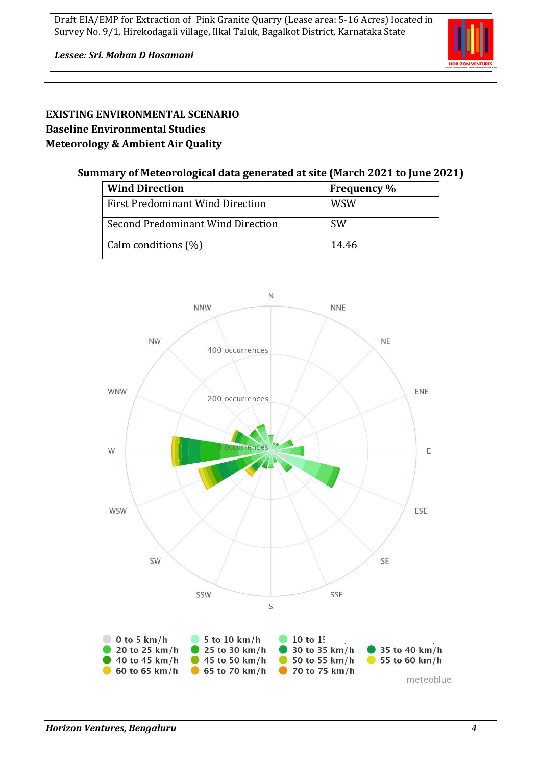

# **EXISTING ENVIRONMENTAL SCENARIO Baseline Environmental Studies Meteorology & Ambient Air Quality**

### **Summary of Meteorological data generated at site (March 2021 to June 2021)**

| <b>Wind Direction</b>                   | <b>Frequency</b> % |
|-----------------------------------------|--------------------|
| <b>First Predominant Wind Direction</b> | <b>WSW</b>         |
| Second Predominant Wind Direction       | <b>SW</b>          |
| Calm conditions (%)                     | 14.46              |

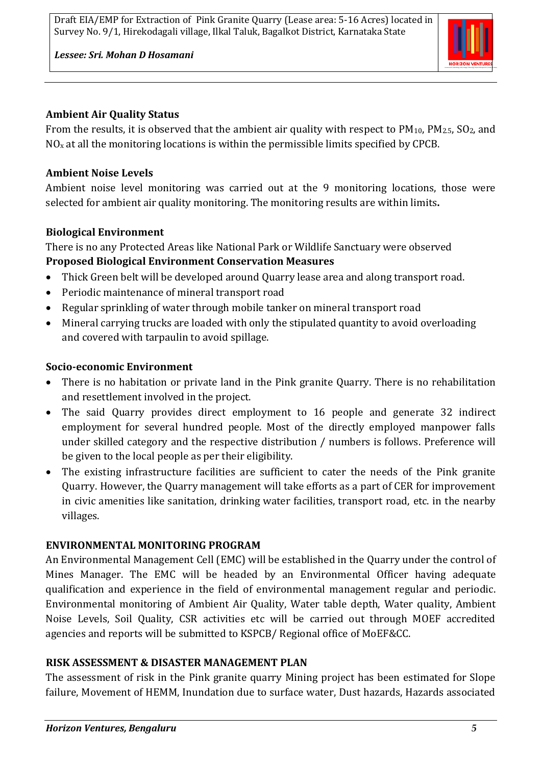

*Lessee: Sri. Mohan D Hosamani*

#### **Ambient Air Quality Status**

From the results, it is observed that the ambient air quality with respect to  $PM_{10}$ ,  $PM_{2.5}$ ,  $SO_2$ , and  $NO<sub>x</sub>$  at all the monitoring locations is within the permissible limits specified by CPCB.

# **Ambient Noise Levels**

Ambient noise level monitoring was carried out at the 9 monitoring locations, those were selected for ambient air quality monitoring. The monitoring results are within limits**.**

# **Biological Environment**

There is no any Protected Areas like National Park or Wildlife Sanctuary were observed **Proposed Biological Environment Conservation Measures**

- Thick Green belt will be developed around Quarry lease area and along transport road.
- Periodic maintenance of mineral transport road
- Regular sprinkling of water through mobile tanker on mineral transport road
- Mineral carrying trucks are loaded with only the stipulated quantity to avoid overloading and covered with tarpaulin to avoid spillage.

## **Socio-economic Environment**

- There is no habitation or private land in the Pink granite Quarry. There is no rehabilitation and resettlement involved in the project.
- The said Quarry provides direct employment to 16 people and generate 32 indirect employment for several hundred people. Most of the directly employed manpower falls under skilled category and the respective distribution / numbers is follows. Preference will be given to the local people as per their eligibility.
- The existing infrastructure facilities are sufficient to cater the needs of the Pink granite Quarry. However, the Quarry management will take efforts as a part of CER for improvement in civic amenities like sanitation, drinking water facilities, transport road, etc. in the nearby villages.

## **ENVIRONMENTAL MONITORING PROGRAM**

An Environmental Management Cell (EMC) will be established in the Quarry under the control of Mines Manager. The EMC will be headed by an Environmental Officer having adequate qualification and experience in the field of environmental management regular and periodic. Environmental monitoring of Ambient Air Quality, Water table depth, Water quality, Ambient Noise Levels, Soil Quality, CSR activities etc will be carried out through MOEF accredited agencies and reports will be submitted to KSPCB/ Regional office of MoEF&CC.

## **RISK ASSESSMENT & DISASTER MANAGEMENT PLAN**

The assessment of risk in the Pink granite quarry Mining project has been estimated for Slope failure, Movement of HEMM, Inundation due to surface water, Dust hazards, Hazards associated